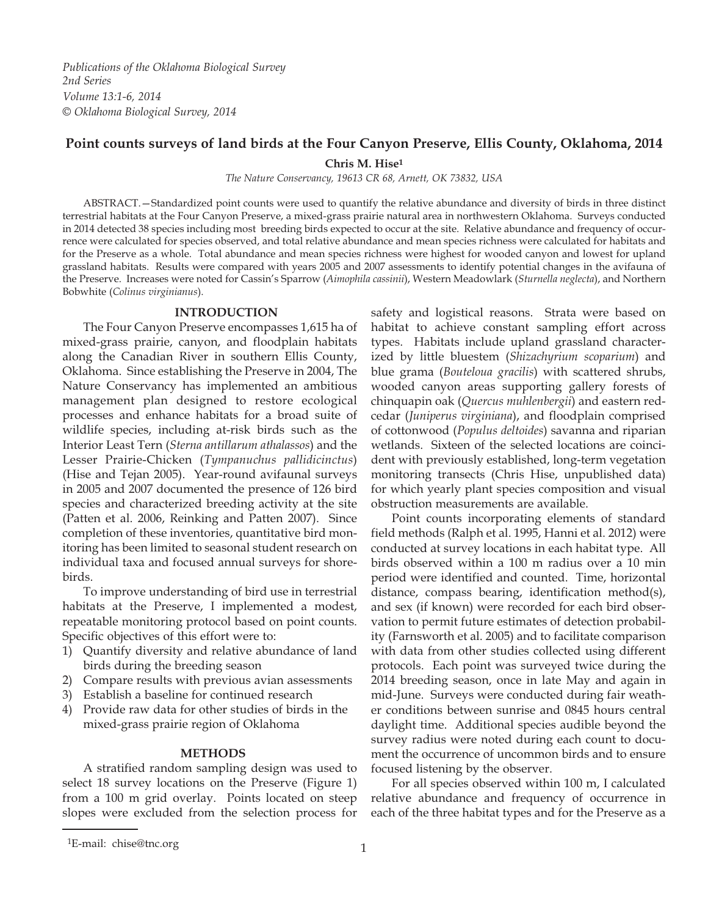*Publications of the Oklahoma Biological Survey 2nd Series Volume 13:1-6, 2014 © Oklahoma Biological Survey, 2014*

# **Point counts surveys of land birds at the Four Canyon Preserve, Ellis County, Oklahoma, 2014**

**Chris M. Hise1**

*The Nature Conservancy, 19613 CR 68, Arnett, OK 73832, USA*

ABSTRACT.—Standardized point counts were used to quantify the relative abundance and diversity of birds in three distinct terrestrial habitats at the Four Canyon Preserve, a mixed-grass prairie natural area in northwestern Oklahoma. Surveys conducted in 2014 detected 38 species including most breeding birds expected to occur at the site. Relative abundance and frequency of occurrence were calculated for species observed, and total relative abundance and mean species richness were calculated for habitats and for the Preserve as a whole. Total abundance and mean species richness were highest for wooded canyon and lowest for upland grassland habitats. Results were compared with years 2005 and 2007 assessments to identify potential changes in the avifauna of the Preserve. Increases were noted for Cassin's Sparrow (*Aimophila cassinii*), Western Meadowlark (*Sturnella neglecta*), and Northern Bobwhite (*Colinus virginianus*).

### **INTRODUCTION**

The Four Canyon Preserve encompasses 1,615 ha of mixed-grass prairie, canyon, and floodplain habitats along the Canadian River in southern Ellis County, Oklahoma. Since establishing the Preserve in 2004, The Nature Conservancy has implemented an ambitious management plan designed to restore ecological processes and enhance habitats for a broad suite of wildlife species, including at-risk birds such as the Interior Least Tern (*Sterna antillarum athalassos*) and the Lesser Prairie-Chicken (*Tympanuchus pallidicinctus*) (Hise and Tejan 2005). Year-round avifaunal surveys in 2005 and 2007 documented the presence of 126 bird species and characterized breeding activity at the site (Patten et al. 2006, Reinking and Patten 2007). Since completion of these inventories, quantitative bird monitoring has been limited to seasonal student research on individual taxa and focused annual surveys for shorebirds.

To improve understanding of bird use in terrestrial habitats at the Preserve, I implemented a modest, repeatable monitoring protocol based on point counts. Specific objectives of this effort were to:

- 1) Quantify diversity and relative abundance of land birds during the breeding season
- 2) Compare results with previous avian assessments
- 3) Establish a baseline for continued research
- 4) Provide raw data for other studies of birds in the mixed-grass prairie region of Oklahoma

#### **METHODS**

A stratified random sampling design was used to select 18 survey locations on the Preserve (Figure 1) from a 100 m grid overlay. Points located on steep slopes were excluded from the selection process for safety and logistical reasons. Strata were based on habitat to achieve constant sampling effort across types. Habitats include upland grassland characterized by little bluestem (*Shizachyrium scoparium*) and blue grama (*Bouteloua gracilis*) with scattered shrubs, wooded canyon areas supporting gallery forests of chinquapin oak (*Quercus muhlenbergii*) and eastern redcedar (*Juniperus virginiana*), and floodplain comprised of cottonwood (*Populus deltoides*) savanna and riparian wetlands. Sixteen of the selected locations are coincident with previously established, long-term vegetation monitoring transects (Chris Hise, unpublished data) for which yearly plant species composition and visual obstruction measurements are available.

Point counts incorporating elements of standard field methods (Ralph et al. 1995, Hanni et al. 2012) were conducted at survey locations in each habitat type. All birds observed within a 100 m radius over a 10 min period were identified and counted. Time, horizontal distance, compass bearing, identification method(s), and sex (if known) were recorded for each bird observation to permit future estimates of detection probability (Farnsworth et al. 2005) and to facilitate comparison with data from other studies collected using different protocols. Each point was surveyed twice during the 2014 breeding season, once in late May and again in mid-June. Surveys were conducted during fair weather conditions between sunrise and 0845 hours central daylight time. Additional species audible beyond the survey radius were noted during each count to document the occurrence of uncommon birds and to ensure focused listening by the observer.

For all species observed within 100 m, I calculated relative abundance and frequency of occurrence in each of the three habitat types and for the Preserve as a

<sup>1</sup>E-mail: chise@tnc.org 1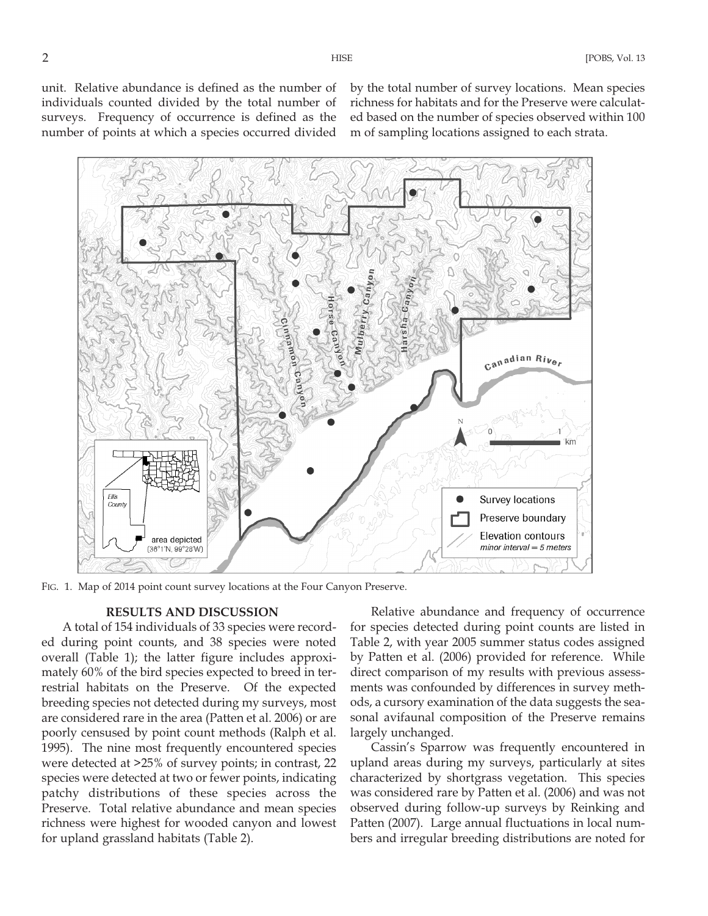unit. Relative abundance is defined as the number of individuals counted divided by the total number of surveys. Frequency of occurrence is defined as the number of points at which a species occurred divided by the total number of survey locations. Mean species richness for habitats and for the Preserve were calculated based on the number of species observed within 100 m of sampling locations assigned to each strata.



FIG. 1. Map of 2014 point count survey locations at the Four Canyon Preserve.

## **RESULTS AND DISCUSSION**

A total of 154 individuals of 33 species were recorded during point counts, and 38 species were noted overall (Table 1); the latter figure includes approximately 60% of the bird species expected to breed in terrestrial habitats on the Preserve. Of the expected breeding species not detected during my surveys, most are considered rare in the area (Patten et al. 2006) or are poorly censused by point count methods (Ralph et al. 1995). The nine most frequently encountered species were detected at >25% of survey points; in contrast, 22 species were detected at two or fewer points, indicating patchy distributions of these species across the Preserve. Total relative abundance and mean species richness were highest for wooded canyon and lowest for upland grassland habitats (Table 2).

Relative abundance and frequency of occurrence for species detected during point counts are listed in Table 2, with year 2005 summer status codes assigned by Patten et al. (2006) provided for reference. While direct comparison of my results with previous assessments was confounded by differences in survey methods, a cursory examination of the data suggests the seasonal avifaunal composition of the Preserve remains largely unchanged.

Cassin's Sparrow was frequently encountered in upland areas during my surveys, particularly at sites characterized by shortgrass vegetation. This species was considered rare by Patten et al. (2006) and was not observed during follow-up surveys by Reinking and Patten (2007). Large annual fluctuations in local numbers and irregular breeding distributions are noted for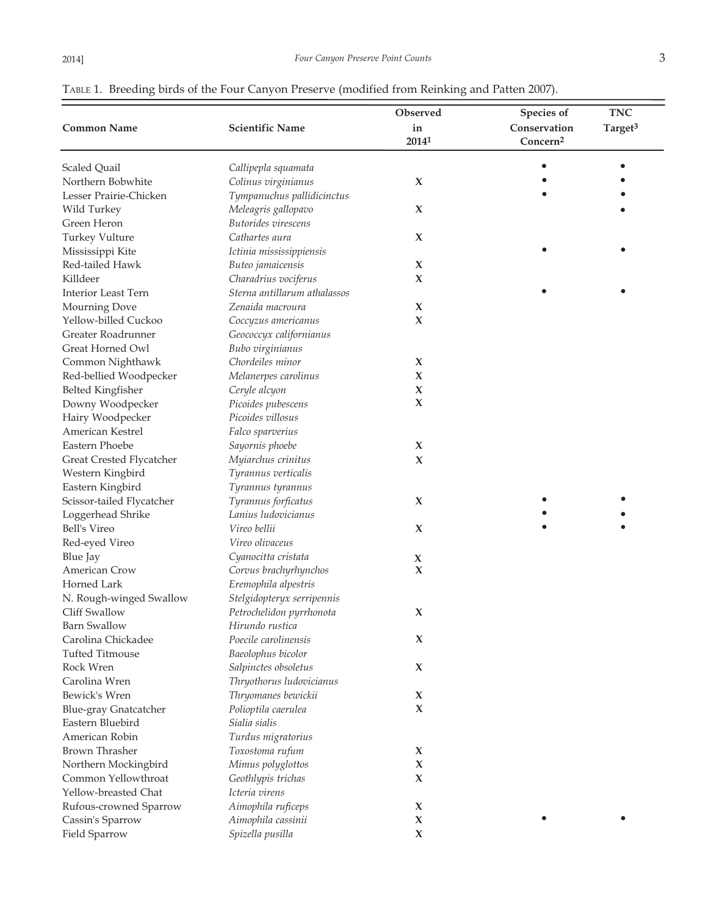| Observed<br><b>Scientific Name</b><br>Conservation<br>Target <sup>3</sup><br>in<br>2014 <sup>1</sup><br>Concern <sup>2</sup><br>Scaled Quail<br>Callipepla squamata<br>Colinus virginianus<br>X<br>Tympanuchus pallidicinctus<br>Meleagris gallopavo<br>Wild Turkey<br>X<br>Butorides virescens<br><b>Turkey Vulture</b><br>Cathartes aura<br>X<br>Mississippi Kite<br>Ictinia mississippiensis<br>Buteo jamaicensis<br>X<br>Charadrius vociferus<br>X<br>Sterna antillarum athalassos<br><b>Interior Least Tern</b><br>Mourning Dove<br>Zenaida macroura<br>X<br>Yellow-billed Cuckoo<br>Coccyzus americanus<br>X<br>Geococcyx californianus<br>Great Horned Owl<br>Bubo virginianus<br>Common Nighthawk<br>Chordeiles minor<br>X<br>Red-bellied Woodpecker<br>Melanerpes carolinus<br>X<br><b>Belted Kingfisher</b><br>Ceryle alcyon<br>X<br>X<br>Downy Woodpecker<br>Picoides pubescens<br>Hairy Woodpecker<br>Picoides villosus<br>American Kestrel<br>Falco sparverius<br>Eastern Phoebe<br>Sayornis phoebe<br>X<br>Myiarchus crinitus<br>Great Crested Flycatcher<br>X<br>Western Kingbird<br>Tyrannus verticalis<br>Eastern Kingbird<br>Tyrannus tyrannus<br>Scissor-tailed Flycatcher<br>Tyrannus forficatus<br>X<br>Lanius ludovicianus<br>Loggerhead Shrike<br>Bell's Vireo<br>Vireo bellii<br>X<br>Vireo olivaceus<br>Red-eyed Vireo<br><b>Blue Jay</b><br>Cyanocitta cristata<br>X<br>Corvus brachyrhynchos<br>X<br>Eremophila alpestris<br>N. Rough-winged Swallow<br>Stelgidopteryx serripennis<br>Petrochelidon pyrrhonota<br>X<br>Hirundo rustica<br>Carolina Chickadee<br>Poecile carolinensis<br>X<br><b>Tufted Titmouse</b><br>Baeolophus bicolor<br>Salpinctes obsoletus<br>X<br>Carolina Wren<br>Thryothorus ludovicianus<br>Thryomanes bewickii<br>X<br><b>Blue-gray Gnatcatcher</b><br>Polioptila caerulea<br>X<br>Eastern Bluebird<br>Sialia sialis<br>Turdus migratorius<br>Toxostoma rufum<br>X<br>Northern Mockingbird<br>Mimus polyglottos<br>X<br>Geothlypis trichas<br>X<br>Yellow-breasted Chat<br>Icteria virens<br>Rufous-crowned Sparrow<br>Aimophila ruficeps<br>X<br>Aimophila cassinii<br>X<br>Cassin's Sparrow<br>X<br>Spizella pusilla |                        |  |            |            |
|-------------------------------------------------------------------------------------------------------------------------------------------------------------------------------------------------------------------------------------------------------------------------------------------------------------------------------------------------------------------------------------------------------------------------------------------------------------------------------------------------------------------------------------------------------------------------------------------------------------------------------------------------------------------------------------------------------------------------------------------------------------------------------------------------------------------------------------------------------------------------------------------------------------------------------------------------------------------------------------------------------------------------------------------------------------------------------------------------------------------------------------------------------------------------------------------------------------------------------------------------------------------------------------------------------------------------------------------------------------------------------------------------------------------------------------------------------------------------------------------------------------------------------------------------------------------------------------------------------------------------------------------------------------------------------------------------------------------------------------------------------------------------------------------------------------------------------------------------------------------------------------------------------------------------------------------------------------------------------------------------------------------------------------------------------------------------------------------------------------------------------------------------------------------------------|------------------------|--|------------|------------|
|                                                                                                                                                                                                                                                                                                                                                                                                                                                                                                                                                                                                                                                                                                                                                                                                                                                                                                                                                                                                                                                                                                                                                                                                                                                                                                                                                                                                                                                                                                                                                                                                                                                                                                                                                                                                                                                                                                                                                                                                                                                                                                                                                                               |                        |  | Species of | <b>TNC</b> |
|                                                                                                                                                                                                                                                                                                                                                                                                                                                                                                                                                                                                                                                                                                                                                                                                                                                                                                                                                                                                                                                                                                                                                                                                                                                                                                                                                                                                                                                                                                                                                                                                                                                                                                                                                                                                                                                                                                                                                                                                                                                                                                                                                                               | <b>Common Name</b>     |  |            |            |
|                                                                                                                                                                                                                                                                                                                                                                                                                                                                                                                                                                                                                                                                                                                                                                                                                                                                                                                                                                                                                                                                                                                                                                                                                                                                                                                                                                                                                                                                                                                                                                                                                                                                                                                                                                                                                                                                                                                                                                                                                                                                                                                                                                               |                        |  |            |            |
|                                                                                                                                                                                                                                                                                                                                                                                                                                                                                                                                                                                                                                                                                                                                                                                                                                                                                                                                                                                                                                                                                                                                                                                                                                                                                                                                                                                                                                                                                                                                                                                                                                                                                                                                                                                                                                                                                                                                                                                                                                                                                                                                                                               |                        |  |            |            |
|                                                                                                                                                                                                                                                                                                                                                                                                                                                                                                                                                                                                                                                                                                                                                                                                                                                                                                                                                                                                                                                                                                                                                                                                                                                                                                                                                                                                                                                                                                                                                                                                                                                                                                                                                                                                                                                                                                                                                                                                                                                                                                                                                                               | Northern Bobwhite      |  |            |            |
|                                                                                                                                                                                                                                                                                                                                                                                                                                                                                                                                                                                                                                                                                                                                                                                                                                                                                                                                                                                                                                                                                                                                                                                                                                                                                                                                                                                                                                                                                                                                                                                                                                                                                                                                                                                                                                                                                                                                                                                                                                                                                                                                                                               | Lesser Prairie-Chicken |  |            |            |
|                                                                                                                                                                                                                                                                                                                                                                                                                                                                                                                                                                                                                                                                                                                                                                                                                                                                                                                                                                                                                                                                                                                                                                                                                                                                                                                                                                                                                                                                                                                                                                                                                                                                                                                                                                                                                                                                                                                                                                                                                                                                                                                                                                               |                        |  |            |            |
|                                                                                                                                                                                                                                                                                                                                                                                                                                                                                                                                                                                                                                                                                                                                                                                                                                                                                                                                                                                                                                                                                                                                                                                                                                                                                                                                                                                                                                                                                                                                                                                                                                                                                                                                                                                                                                                                                                                                                                                                                                                                                                                                                                               | Green Heron            |  |            |            |
|                                                                                                                                                                                                                                                                                                                                                                                                                                                                                                                                                                                                                                                                                                                                                                                                                                                                                                                                                                                                                                                                                                                                                                                                                                                                                                                                                                                                                                                                                                                                                                                                                                                                                                                                                                                                                                                                                                                                                                                                                                                                                                                                                                               |                        |  |            |            |
|                                                                                                                                                                                                                                                                                                                                                                                                                                                                                                                                                                                                                                                                                                                                                                                                                                                                                                                                                                                                                                                                                                                                                                                                                                                                                                                                                                                                                                                                                                                                                                                                                                                                                                                                                                                                                                                                                                                                                                                                                                                                                                                                                                               |                        |  |            |            |
|                                                                                                                                                                                                                                                                                                                                                                                                                                                                                                                                                                                                                                                                                                                                                                                                                                                                                                                                                                                                                                                                                                                                                                                                                                                                                                                                                                                                                                                                                                                                                                                                                                                                                                                                                                                                                                                                                                                                                                                                                                                                                                                                                                               | Red-tailed Hawk        |  |            |            |
|                                                                                                                                                                                                                                                                                                                                                                                                                                                                                                                                                                                                                                                                                                                                                                                                                                                                                                                                                                                                                                                                                                                                                                                                                                                                                                                                                                                                                                                                                                                                                                                                                                                                                                                                                                                                                                                                                                                                                                                                                                                                                                                                                                               | Killdeer               |  |            |            |
|                                                                                                                                                                                                                                                                                                                                                                                                                                                                                                                                                                                                                                                                                                                                                                                                                                                                                                                                                                                                                                                                                                                                                                                                                                                                                                                                                                                                                                                                                                                                                                                                                                                                                                                                                                                                                                                                                                                                                                                                                                                                                                                                                                               |                        |  |            |            |
|                                                                                                                                                                                                                                                                                                                                                                                                                                                                                                                                                                                                                                                                                                                                                                                                                                                                                                                                                                                                                                                                                                                                                                                                                                                                                                                                                                                                                                                                                                                                                                                                                                                                                                                                                                                                                                                                                                                                                                                                                                                                                                                                                                               |                        |  |            |            |
|                                                                                                                                                                                                                                                                                                                                                                                                                                                                                                                                                                                                                                                                                                                                                                                                                                                                                                                                                                                                                                                                                                                                                                                                                                                                                                                                                                                                                                                                                                                                                                                                                                                                                                                                                                                                                                                                                                                                                                                                                                                                                                                                                                               |                        |  |            |            |
|                                                                                                                                                                                                                                                                                                                                                                                                                                                                                                                                                                                                                                                                                                                                                                                                                                                                                                                                                                                                                                                                                                                                                                                                                                                                                                                                                                                                                                                                                                                                                                                                                                                                                                                                                                                                                                                                                                                                                                                                                                                                                                                                                                               | Greater Roadrunner     |  |            |            |
|                                                                                                                                                                                                                                                                                                                                                                                                                                                                                                                                                                                                                                                                                                                                                                                                                                                                                                                                                                                                                                                                                                                                                                                                                                                                                                                                                                                                                                                                                                                                                                                                                                                                                                                                                                                                                                                                                                                                                                                                                                                                                                                                                                               |                        |  |            |            |
|                                                                                                                                                                                                                                                                                                                                                                                                                                                                                                                                                                                                                                                                                                                                                                                                                                                                                                                                                                                                                                                                                                                                                                                                                                                                                                                                                                                                                                                                                                                                                                                                                                                                                                                                                                                                                                                                                                                                                                                                                                                                                                                                                                               |                        |  |            |            |
|                                                                                                                                                                                                                                                                                                                                                                                                                                                                                                                                                                                                                                                                                                                                                                                                                                                                                                                                                                                                                                                                                                                                                                                                                                                                                                                                                                                                                                                                                                                                                                                                                                                                                                                                                                                                                                                                                                                                                                                                                                                                                                                                                                               |                        |  |            |            |
|                                                                                                                                                                                                                                                                                                                                                                                                                                                                                                                                                                                                                                                                                                                                                                                                                                                                                                                                                                                                                                                                                                                                                                                                                                                                                                                                                                                                                                                                                                                                                                                                                                                                                                                                                                                                                                                                                                                                                                                                                                                                                                                                                                               |                        |  |            |            |
|                                                                                                                                                                                                                                                                                                                                                                                                                                                                                                                                                                                                                                                                                                                                                                                                                                                                                                                                                                                                                                                                                                                                                                                                                                                                                                                                                                                                                                                                                                                                                                                                                                                                                                                                                                                                                                                                                                                                                                                                                                                                                                                                                                               |                        |  |            |            |
|                                                                                                                                                                                                                                                                                                                                                                                                                                                                                                                                                                                                                                                                                                                                                                                                                                                                                                                                                                                                                                                                                                                                                                                                                                                                                                                                                                                                                                                                                                                                                                                                                                                                                                                                                                                                                                                                                                                                                                                                                                                                                                                                                                               |                        |  |            |            |
|                                                                                                                                                                                                                                                                                                                                                                                                                                                                                                                                                                                                                                                                                                                                                                                                                                                                                                                                                                                                                                                                                                                                                                                                                                                                                                                                                                                                                                                                                                                                                                                                                                                                                                                                                                                                                                                                                                                                                                                                                                                                                                                                                                               |                        |  |            |            |
|                                                                                                                                                                                                                                                                                                                                                                                                                                                                                                                                                                                                                                                                                                                                                                                                                                                                                                                                                                                                                                                                                                                                                                                                                                                                                                                                                                                                                                                                                                                                                                                                                                                                                                                                                                                                                                                                                                                                                                                                                                                                                                                                                                               |                        |  |            |            |
|                                                                                                                                                                                                                                                                                                                                                                                                                                                                                                                                                                                                                                                                                                                                                                                                                                                                                                                                                                                                                                                                                                                                                                                                                                                                                                                                                                                                                                                                                                                                                                                                                                                                                                                                                                                                                                                                                                                                                                                                                                                                                                                                                                               |                        |  |            |            |
|                                                                                                                                                                                                                                                                                                                                                                                                                                                                                                                                                                                                                                                                                                                                                                                                                                                                                                                                                                                                                                                                                                                                                                                                                                                                                                                                                                                                                                                                                                                                                                                                                                                                                                                                                                                                                                                                                                                                                                                                                                                                                                                                                                               |                        |  |            |            |
|                                                                                                                                                                                                                                                                                                                                                                                                                                                                                                                                                                                                                                                                                                                                                                                                                                                                                                                                                                                                                                                                                                                                                                                                                                                                                                                                                                                                                                                                                                                                                                                                                                                                                                                                                                                                                                                                                                                                                                                                                                                                                                                                                                               |                        |  |            |            |
|                                                                                                                                                                                                                                                                                                                                                                                                                                                                                                                                                                                                                                                                                                                                                                                                                                                                                                                                                                                                                                                                                                                                                                                                                                                                                                                                                                                                                                                                                                                                                                                                                                                                                                                                                                                                                                                                                                                                                                                                                                                                                                                                                                               |                        |  |            |            |
|                                                                                                                                                                                                                                                                                                                                                                                                                                                                                                                                                                                                                                                                                                                                                                                                                                                                                                                                                                                                                                                                                                                                                                                                                                                                                                                                                                                                                                                                                                                                                                                                                                                                                                                                                                                                                                                                                                                                                                                                                                                                                                                                                                               |                        |  |            |            |
|                                                                                                                                                                                                                                                                                                                                                                                                                                                                                                                                                                                                                                                                                                                                                                                                                                                                                                                                                                                                                                                                                                                                                                                                                                                                                                                                                                                                                                                                                                                                                                                                                                                                                                                                                                                                                                                                                                                                                                                                                                                                                                                                                                               |                        |  |            |            |
|                                                                                                                                                                                                                                                                                                                                                                                                                                                                                                                                                                                                                                                                                                                                                                                                                                                                                                                                                                                                                                                                                                                                                                                                                                                                                                                                                                                                                                                                                                                                                                                                                                                                                                                                                                                                                                                                                                                                                                                                                                                                                                                                                                               |                        |  |            |            |
|                                                                                                                                                                                                                                                                                                                                                                                                                                                                                                                                                                                                                                                                                                                                                                                                                                                                                                                                                                                                                                                                                                                                                                                                                                                                                                                                                                                                                                                                                                                                                                                                                                                                                                                                                                                                                                                                                                                                                                                                                                                                                                                                                                               |                        |  |            |            |
|                                                                                                                                                                                                                                                                                                                                                                                                                                                                                                                                                                                                                                                                                                                                                                                                                                                                                                                                                                                                                                                                                                                                                                                                                                                                                                                                                                                                                                                                                                                                                                                                                                                                                                                                                                                                                                                                                                                                                                                                                                                                                                                                                                               | American Crow          |  |            |            |
|                                                                                                                                                                                                                                                                                                                                                                                                                                                                                                                                                                                                                                                                                                                                                                                                                                                                                                                                                                                                                                                                                                                                                                                                                                                                                                                                                                                                                                                                                                                                                                                                                                                                                                                                                                                                                                                                                                                                                                                                                                                                                                                                                                               | Horned Lark            |  |            |            |
|                                                                                                                                                                                                                                                                                                                                                                                                                                                                                                                                                                                                                                                                                                                                                                                                                                                                                                                                                                                                                                                                                                                                                                                                                                                                                                                                                                                                                                                                                                                                                                                                                                                                                                                                                                                                                                                                                                                                                                                                                                                                                                                                                                               |                        |  |            |            |
|                                                                                                                                                                                                                                                                                                                                                                                                                                                                                                                                                                                                                                                                                                                                                                                                                                                                                                                                                                                                                                                                                                                                                                                                                                                                                                                                                                                                                                                                                                                                                                                                                                                                                                                                                                                                                                                                                                                                                                                                                                                                                                                                                                               | Cliff Swallow          |  |            |            |
|                                                                                                                                                                                                                                                                                                                                                                                                                                                                                                                                                                                                                                                                                                                                                                                                                                                                                                                                                                                                                                                                                                                                                                                                                                                                                                                                                                                                                                                                                                                                                                                                                                                                                                                                                                                                                                                                                                                                                                                                                                                                                                                                                                               | <b>Barn Swallow</b>    |  |            |            |
|                                                                                                                                                                                                                                                                                                                                                                                                                                                                                                                                                                                                                                                                                                                                                                                                                                                                                                                                                                                                                                                                                                                                                                                                                                                                                                                                                                                                                                                                                                                                                                                                                                                                                                                                                                                                                                                                                                                                                                                                                                                                                                                                                                               |                        |  |            |            |
|                                                                                                                                                                                                                                                                                                                                                                                                                                                                                                                                                                                                                                                                                                                                                                                                                                                                                                                                                                                                                                                                                                                                                                                                                                                                                                                                                                                                                                                                                                                                                                                                                                                                                                                                                                                                                                                                                                                                                                                                                                                                                                                                                                               |                        |  |            |            |
|                                                                                                                                                                                                                                                                                                                                                                                                                                                                                                                                                                                                                                                                                                                                                                                                                                                                                                                                                                                                                                                                                                                                                                                                                                                                                                                                                                                                                                                                                                                                                                                                                                                                                                                                                                                                                                                                                                                                                                                                                                                                                                                                                                               | Rock Wren              |  |            |            |
|                                                                                                                                                                                                                                                                                                                                                                                                                                                                                                                                                                                                                                                                                                                                                                                                                                                                                                                                                                                                                                                                                                                                                                                                                                                                                                                                                                                                                                                                                                                                                                                                                                                                                                                                                                                                                                                                                                                                                                                                                                                                                                                                                                               |                        |  |            |            |
|                                                                                                                                                                                                                                                                                                                                                                                                                                                                                                                                                                                                                                                                                                                                                                                                                                                                                                                                                                                                                                                                                                                                                                                                                                                                                                                                                                                                                                                                                                                                                                                                                                                                                                                                                                                                                                                                                                                                                                                                                                                                                                                                                                               | Bewick's Wren          |  |            |            |
|                                                                                                                                                                                                                                                                                                                                                                                                                                                                                                                                                                                                                                                                                                                                                                                                                                                                                                                                                                                                                                                                                                                                                                                                                                                                                                                                                                                                                                                                                                                                                                                                                                                                                                                                                                                                                                                                                                                                                                                                                                                                                                                                                                               |                        |  |            |            |
|                                                                                                                                                                                                                                                                                                                                                                                                                                                                                                                                                                                                                                                                                                                                                                                                                                                                                                                                                                                                                                                                                                                                                                                                                                                                                                                                                                                                                                                                                                                                                                                                                                                                                                                                                                                                                                                                                                                                                                                                                                                                                                                                                                               |                        |  |            |            |
|                                                                                                                                                                                                                                                                                                                                                                                                                                                                                                                                                                                                                                                                                                                                                                                                                                                                                                                                                                                                                                                                                                                                                                                                                                                                                                                                                                                                                                                                                                                                                                                                                                                                                                                                                                                                                                                                                                                                                                                                                                                                                                                                                                               | American Robin         |  |            |            |
|                                                                                                                                                                                                                                                                                                                                                                                                                                                                                                                                                                                                                                                                                                                                                                                                                                                                                                                                                                                                                                                                                                                                                                                                                                                                                                                                                                                                                                                                                                                                                                                                                                                                                                                                                                                                                                                                                                                                                                                                                                                                                                                                                                               | Brown Thrasher         |  |            |            |
|                                                                                                                                                                                                                                                                                                                                                                                                                                                                                                                                                                                                                                                                                                                                                                                                                                                                                                                                                                                                                                                                                                                                                                                                                                                                                                                                                                                                                                                                                                                                                                                                                                                                                                                                                                                                                                                                                                                                                                                                                                                                                                                                                                               |                        |  |            |            |
|                                                                                                                                                                                                                                                                                                                                                                                                                                                                                                                                                                                                                                                                                                                                                                                                                                                                                                                                                                                                                                                                                                                                                                                                                                                                                                                                                                                                                                                                                                                                                                                                                                                                                                                                                                                                                                                                                                                                                                                                                                                                                                                                                                               | Common Yellowthroat    |  |            |            |
|                                                                                                                                                                                                                                                                                                                                                                                                                                                                                                                                                                                                                                                                                                                                                                                                                                                                                                                                                                                                                                                                                                                                                                                                                                                                                                                                                                                                                                                                                                                                                                                                                                                                                                                                                                                                                                                                                                                                                                                                                                                                                                                                                                               |                        |  |            |            |
|                                                                                                                                                                                                                                                                                                                                                                                                                                                                                                                                                                                                                                                                                                                                                                                                                                                                                                                                                                                                                                                                                                                                                                                                                                                                                                                                                                                                                                                                                                                                                                                                                                                                                                                                                                                                                                                                                                                                                                                                                                                                                                                                                                               |                        |  |            |            |
|                                                                                                                                                                                                                                                                                                                                                                                                                                                                                                                                                                                                                                                                                                                                                                                                                                                                                                                                                                                                                                                                                                                                                                                                                                                                                                                                                                                                                                                                                                                                                                                                                                                                                                                                                                                                                                                                                                                                                                                                                                                                                                                                                                               |                        |  |            |            |
|                                                                                                                                                                                                                                                                                                                                                                                                                                                                                                                                                                                                                                                                                                                                                                                                                                                                                                                                                                                                                                                                                                                                                                                                                                                                                                                                                                                                                                                                                                                                                                                                                                                                                                                                                                                                                                                                                                                                                                                                                                                                                                                                                                               | Field Sparrow          |  |            |            |

## TABLE 1. Breeding birds of the Four Canyon Preserve (modified from Reinking and Patten 2007).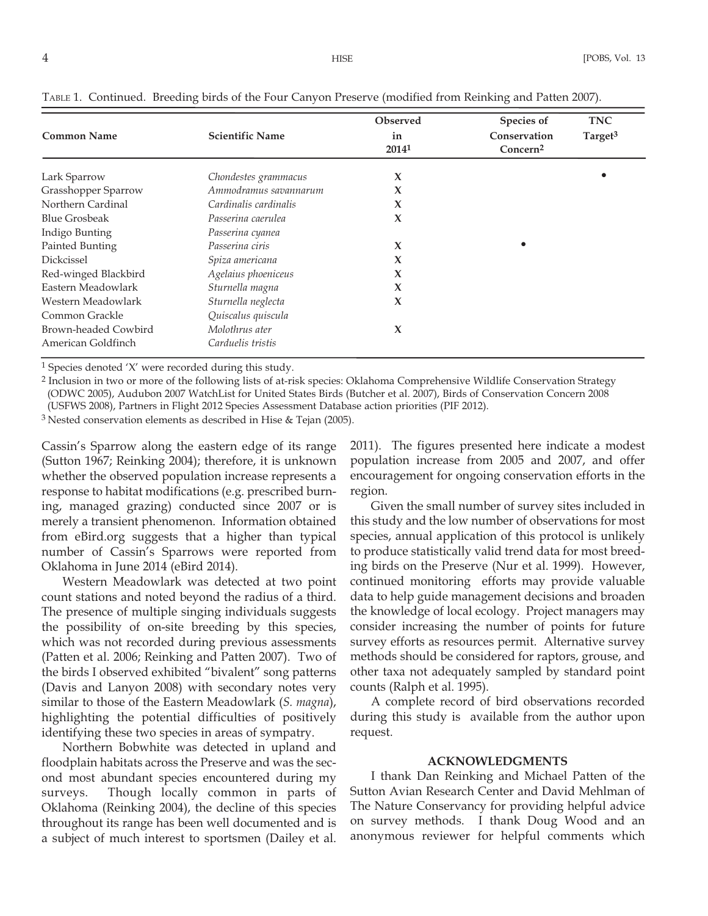| <b>Common Name</b>   | <b>Scientific Name</b> | Observed<br>in<br>20141 | Species of<br>Conservation<br>Concern <sup>2</sup> | <b>TNC</b><br>Target <sup>3</sup> |
|----------------------|------------------------|-------------------------|----------------------------------------------------|-----------------------------------|
| Lark Sparrow         | Chondestes grammacus   | X                       |                                                    |                                   |
| Grasshopper Sparrow  | Ammodramus savannarum  | X                       |                                                    |                                   |
| Northern Cardinal    | Cardinalis cardinalis  | X                       |                                                    |                                   |
| <b>Blue Grosbeak</b> | Passerina caerulea     | X                       |                                                    |                                   |
| Indigo Bunting       | Passerina cyanea       |                         |                                                    |                                   |
| Painted Bunting      | Passerina ciris        | X                       |                                                    |                                   |
| <b>Dickcissel</b>    | Spiza americana        | X                       |                                                    |                                   |
| Red-winged Blackbird | Agelaius phoeniceus    | X                       |                                                    |                                   |
| Eastern Meadowlark   | Sturnella magna        | X                       |                                                    |                                   |
| Western Meadowlark   | Sturnella neglecta     | X                       |                                                    |                                   |
| Common Grackle       | Quiscalus quiscula     |                         |                                                    |                                   |
| Brown-headed Cowbird | Molothrus ater         | X                       |                                                    |                                   |
| American Goldfinch   | Carduelis tristis      |                         |                                                    |                                   |

TABLE 1. Continued. Breeding birds of the Four Canyon Preserve (modified from Reinking and Patten 2007).

1 Species denoted 'X' were recorded during this study.

2 Inclusion in two or more of the following lists of at-risk species: Oklahoma Comprehensive Wildlife Conservation Strategy (ODWC 2005), Audubon 2007 WatchList for United States Birds (Butcher et al. 2007), Birds of Conservation Concern 2008 (USFWS 2008), Partners in Flight 2012 Species Assessment Database action priorities (PIF 2012).

3 Nested conservation elements as described in Hise & Tejan (2005).

Cassin's Sparrow along the eastern edge of its range (Sutton 1967; Reinking 2004); therefore, it is unknown whether the observed population increase represents a response to habitat modifications (e.g. prescribed burning, managed grazing) conducted since 2007 or is merely a transient phenomenon. Information obtained from eBird.org suggests that a higher than typical number of Cassin's Sparrows were reported from Oklahoma in June 2014 (eBird 2014).

Western Meadowlark was detected at two point count stations and noted beyond the radius of a third. The presence of multiple singing individuals suggests the possibility of on-site breeding by this species, which was not recorded during previous assessments (Patten et al. 2006; Reinking and Patten 2007). Two of the birds I observed exhibited "bivalent" song patterns (Davis and Lanyon 2008) with secondary notes very similar to those of the Eastern Meadowlark (*S. magna*), highlighting the potential difficulties of positively identifying these two species in areas of sympatry.

Northern Bobwhite was detected in upland and floodplain habitats across the Preserve and was the second most abundant species encountered during my surveys. Though locally common in parts of Oklahoma (Reinking 2004), the decline of this species throughout its range has been well documented and is a subject of much interest to sportsmen (Dailey et al.

2011). The figures presented here indicate a modest population increase from 2005 and 2007, and offer encouragement for ongoing conservation efforts in the region.

Given the small number of survey sites included in this study and the low number of observations for most species, annual application of this protocol is unlikely to produce statistically valid trend data for most breeding birds on the Preserve (Nur et al. 1999). However, continued monitoring efforts may provide valuable data to help guide management decisions and broaden the knowledge of local ecology. Project managers may consider increasing the number of points for future survey efforts as resources permit. Alternative survey methods should be considered for raptors, grouse, and other taxa not adequately sampled by standard point counts (Ralph et al. 1995).

A complete record of bird observations recorded during this study is available from the author upon request.

#### **ACKNOWLEDGMENTS**

I thank Dan Reinking and Michael Patten of the Sutton Avian Research Center and David Mehlman of The Nature Conservancy for providing helpful advice on survey methods. I thank Doug Wood and an anonymous reviewer for helpful comments which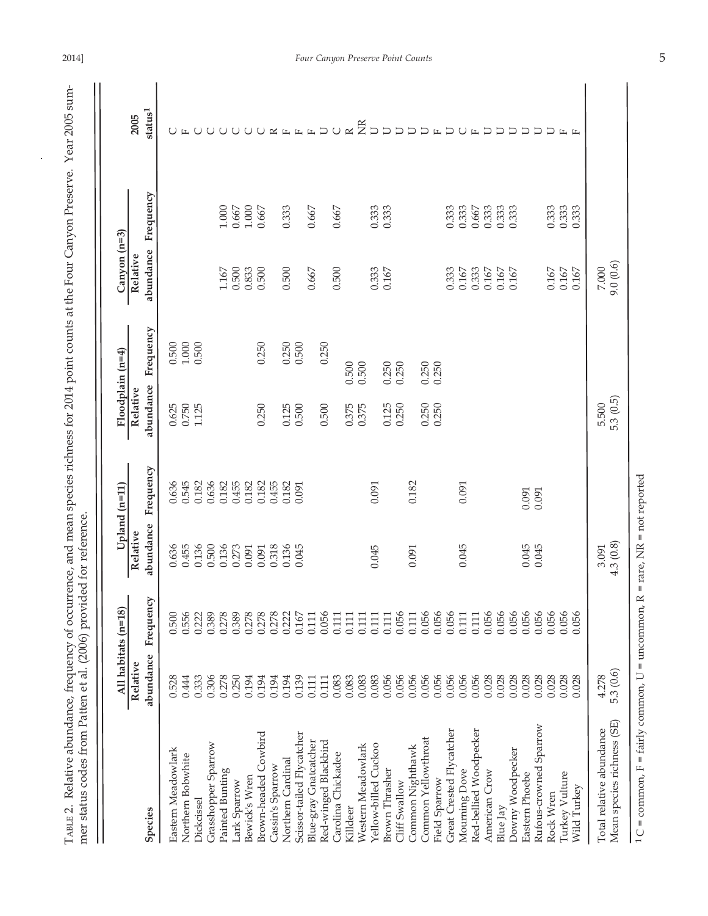TABLE 2. Relative abundance, frequency of occurrence, and mean species richness for 2014 point counts at the Four Canyon Preserve. Year 2005 sum-<br>mer status codes from Patten et al. (2006) provided for reference. TABLE 2. Relative abundance, frequency of occurrence, and mean species richness for 2014 point counts at the Four Canyon Preserve. Year 2005 summer status codes from Patten et al. (2006) provided for reference.

|                                                                                      | All habitats (n=18)<br>Relative |           | Relative                      | Upland (n=11) | Relative  | Floodplain (n=4) | Canyon (n=3)<br>Relative |                | 2005                      |
|--------------------------------------------------------------------------------------|---------------------------------|-----------|-------------------------------|---------------|-----------|------------------|--------------------------|----------------|---------------------------|
| Species                                                                              | abundance                       | Frequency | abundance                     | Frequency     | abundance | Frequency        | abundance                | Frequency      | ${\rm status^1}$          |
| Eastern Meadowlark                                                                   | 0.528                           | 0.500     | 0.636                         | 0.636         | 0.625     | 0.500            |                          |                | ∪                         |
| Northern Bobwhite                                                                    | 0.444                           | 0.556     | 0.455                         | 0.545         | 0.750     | $1.000$          |                          |                |                           |
| Dickcissel                                                                           | 0.333                           | 0.222     | 0.136                         | 0.182         | 1.125     | 0.500            |                          |                | $\cup$                    |
| Grasshopper Sparrow                                                                  | 0.306                           | 0.389     | 0.500                         | 0.636         |           |                  |                          |                | $\cup$                    |
| Painted Bunting                                                                      | 0.278                           | 0.278     | 0.136                         | 0.182         |           |                  | 1.167                    | $1.000$        | $\cup$                    |
| Lark Sparrow                                                                         | 0.250                           | 0.389     | 0.273                         | 0.455         |           |                  | 0.500                    | 0.667          | ◡                         |
| Bewick's Wren                                                                        | 0.194                           | 0.278     | 0.091                         | 0.182         |           |                  | 0.833                    | $1.000$        | $\cup$                    |
| Brown-headed Cowbird                                                                 | 0.194                           | 0.278     | 0.091                         | 0.182         | 0.250     | 0.250            | 0.500                    | 0.667          | ◡                         |
| Cassin's Sparrow                                                                     | 0.194                           | 0.278     | 0.318                         | 0.455         |           |                  |                          |                | $\simeq$                  |
| Northern Cardinal                                                                    | 0.194                           | 0.222     | 0.136                         | 0.182         | 0.125     | 0.250            | 0.500                    | 0.333          | $\mathbb{L}$              |
| Scissor-tailed Flycatcher                                                            | 0.139                           | 0.167     | 0.045                         | 0.091         | 0.500     | 0.500            |                          |                | $\mathbb{L}$              |
| Blue-gray Gnatcatcher                                                                | 0.111                           | 0.111     |                               |               |           |                  | 0.667                    | 0.667          | $\mathbf{L}$              |
| Red-winged Blackbird                                                                 | 0.111                           | 0.056     |                               |               | 0.500     | 0.250            |                          |                | $\cup$                    |
| Carolina Chickadee                                                                   | 0.083                           | 0.111     |                               |               |           |                  | 0.500                    | 0.667          | $\cup$                    |
| Killdeer                                                                             | 0.083                           | 0.111     |                               |               | 0.375     | 0.500            |                          |                | $\approx$                 |
| Western Meadowlark                                                                   | 0.083                           | 0.111     |                               |               | 0.375     | 0.500            |                          |                | $\widetilde{\Xi}$         |
| Yellow-billed Cuckoo                                                                 | 0.083                           | 0.111     | 0.045                         | 0.091         |           |                  | 0.333                    | 0.333<br>0.333 | $\Box$                    |
| <b>Brown Thrasher</b>                                                                | 0.056                           | 0.111     |                               |               | 0.125     | 0.250<br>0.250   | 0.167                    |                | $\overline{C}$            |
| Cliff Swallow                                                                        | 0.056                           | 0.056     |                               |               | 0.250     |                  |                          |                | $\overline{D}$            |
| Common Nighthawk                                                                     | 0.056                           | 0.111     | 0.091                         | 0.182         |           |                  |                          |                | $\Box$                    |
| Common Yellowthroat                                                                  | 0.056                           | 0.056     |                               |               | 0.250     | 0.250<br>0.250   |                          |                | $\Box$                    |
| Field Sparrow                                                                        | 0.056                           | 0.056     |                               |               | 0.250     |                  |                          |                | $\mathbb{L}$              |
| Great Crested Flycatcher                                                             | 0.056                           | 0.056     |                               |               |           |                  | 0.333                    | 0.333          | $\cup$                    |
| Mourning Dove                                                                        | 0.056                           | 0.111     | 0.045                         | 0.091         |           |                  | $0.167\,$                | 0.333          | $\cup$                    |
| Red-bellied Woodpecker                                                               | 0.056                           | 0.111     |                               |               |           |                  | 0.333                    | 0.667          | $\mathbb{L}$              |
| American Crow                                                                        | 0.028                           | 0.056     |                               |               |           |                  | 0.167                    | 0.333          | $\Box$                    |
| Blue Jay                                                                             | 0.028                           | 0.056     |                               |               |           |                  | 0.167                    | 0.333          | $\cup$                    |
| Downy Woodpecker                                                                     | 0.028                           | 0.056     |                               |               |           |                  | 0.167                    | 0.333          | $\Box$                    |
| Eastern Phoebe                                                                       | 0.028                           | 0.056     | 0.045                         | 0.091         |           |                  |                          |                | $\cup$                    |
| Rufous-crowned Sparrow                                                               | 0.028                           | 0.056     | 0.045                         | 0.091         |           |                  |                          |                | $\Box$                    |
| Rock Wren                                                                            | 0.028                           | 0.056     |                               |               |           |                  | 0.167                    | 0.333<br>0.333 | コ                         |
| Turkey Vulture                                                                       | 0.028                           | 0.056     |                               |               |           |                  | 0.167                    |                | $\mathbb{L}$ $\mathbb{L}$ |
| Wild Turkey                                                                          | 0.028                           | 0.056     |                               |               |           |                  | 0.167                    | 0.333          |                           |
| Total relative abundance                                                             | 4.278                           |           | 3.091                         |               | 5.500     |                  | 7.000                    |                |                           |
| Mean species richness (SE)                                                           | 5.3 (0.6)                       |           | 4.3(0.8)                      |               | 5.3(0.5)  |                  | 9.0 (0.6)                |                |                           |
| = common, $F = \text{fairly common}$ , $U = \text{uncommon}$ , $R$<br>1 <sub>C</sub> |                                 |           | $=$ rare, $NR = not$ reported |               |           |                  |                          |                |                           |

l.